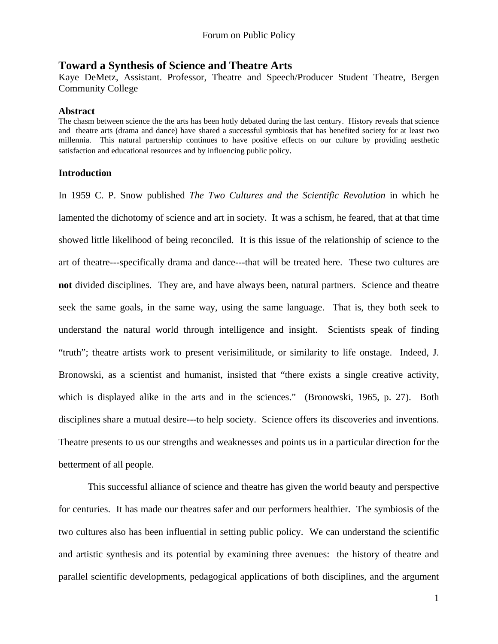# **Toward a Synthesis of Science and Theatre Arts**

Kaye DeMetz, Assistant. Professor, Theatre and Speech/Producer Student Theatre, Bergen Community College

## **Abstract**

The chasm between science the the arts has been hotly debated during the last century. History reveals that science and theatre arts (drama and dance) have shared a successful symbiosis that has benefited society for at least two millennia. This natural partnership continues to have positive effects on our culture by providing aesthetic satisfaction and educational resources and by influencing public policy.

## **Introduction**

In 1959 C. P. Snow published *The Two Cultures and the Scientific Revolution* in which he lamented the dichotomy of science and art in society. It was a schism, he feared, that at that time showed little likelihood of being reconciled. It is this issue of the relationship of science to the art of theatre---specifically drama and dance---that will be treated here. These two cultures are **not** divided disciplines. They are, and have always been, natural partners. Science and theatre seek the same goals, in the same way, using the same language. That is, they both seek to understand the natural world through intelligence and insight. Scientists speak of finding "truth"; theatre artists work to present verisimilitude, or similarity to life onstage. Indeed, J. Bronowski, as a scientist and humanist, insisted that "there exists a single creative activity, which is displayed alike in the arts and in the sciences." (Bronowski, 1965, p. 27). Both disciplines share a mutual desire---to help society. Science offers its discoveries and inventions. Theatre presents to us our strengths and weaknesses and points us in a particular direction for the betterment of all people.

 This successful alliance of science and theatre has given the world beauty and perspective for centuries. It has made our theatres safer and our performers healthier. The symbiosis of the two cultures also has been influential in setting public policy. We can understand the scientific and artistic synthesis and its potential by examining three avenues: the history of theatre and parallel scientific developments, pedagogical applications of both disciplines, and the argument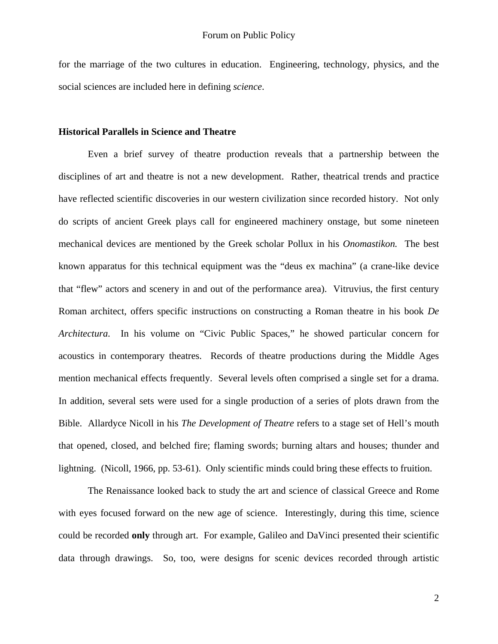for the marriage of the two cultures in education. Engineering, technology, physics, and the social sciences are included here in defining *science*.

## **Historical Parallels in Science and Theatre**

 Even a brief survey of theatre production reveals that a partnership between the disciplines of art and theatre is not a new development. Rather, theatrical trends and practice have reflected scientific discoveries in our western civilization since recorded history. Not only do scripts of ancient Greek plays call for engineered machinery onstage, but some nineteen mechanical devices are mentioned by the Greek scholar Pollux in his *Onomastikon.* The best known apparatus for this technical equipment was the "deus ex machina" (a crane-like device that "flew" actors and scenery in and out of the performance area). Vitruvius, the first century Roman architect, offers specific instructions on constructing a Roman theatre in his book *De Architectura*. In his volume on "Civic Public Spaces," he showed particular concern for acoustics in contemporary theatres. Records of theatre productions during the Middle Ages mention mechanical effects frequently. Several levels often comprised a single set for a drama. In addition, several sets were used for a single production of a series of plots drawn from the Bible. Allardyce Nicoll in his *The Development of Theatre* refers to a stage set of Hell's mouth that opened, closed, and belched fire; flaming swords; burning altars and houses; thunder and lightning. (Nicoll, 1966, pp. 53-61). Only scientific minds could bring these effects to fruition.

 The Renaissance looked back to study the art and science of classical Greece and Rome with eyes focused forward on the new age of science. Interestingly, during this time, science could be recorded **only** through art. For example, Galileo and DaVinci presented their scientific data through drawings. So, too, were designs for scenic devices recorded through artistic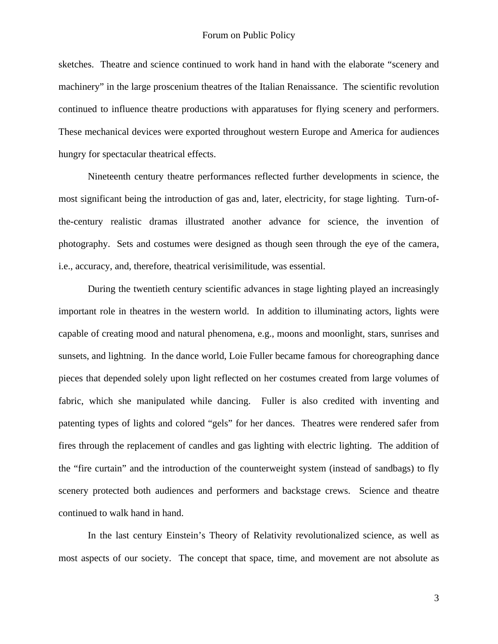sketches. Theatre and science continued to work hand in hand with the elaborate "scenery and machinery" in the large proscenium theatres of the Italian Renaissance. The scientific revolution continued to influence theatre productions with apparatuses for flying scenery and performers. These mechanical devices were exported throughout western Europe and America for audiences hungry for spectacular theatrical effects.

 Nineteenth century theatre performances reflected further developments in science, the most significant being the introduction of gas and, later, electricity, for stage lighting. Turn-ofthe-century realistic dramas illustrated another advance for science, the invention of photography. Sets and costumes were designed as though seen through the eye of the camera, i.e., accuracy, and, therefore, theatrical verisimilitude, was essential.

 During the twentieth century scientific advances in stage lighting played an increasingly important role in theatres in the western world. In addition to illuminating actors, lights were capable of creating mood and natural phenomena, e.g., moons and moonlight, stars, sunrises and sunsets, and lightning. In the dance world, Loie Fuller became famous for choreographing dance pieces that depended solely upon light reflected on her costumes created from large volumes of fabric, which she manipulated while dancing. Fuller is also credited with inventing and patenting types of lights and colored "gels" for her dances. Theatres were rendered safer from fires through the replacement of candles and gas lighting with electric lighting. The addition of the "fire curtain" and the introduction of the counterweight system (instead of sandbags) to fly scenery protected both audiences and performers and backstage crews. Science and theatre continued to walk hand in hand.

 In the last century Einstein's Theory of Relativity revolutionalized science, as well as most aspects of our society. The concept that space, time, and movement are not absolute as

3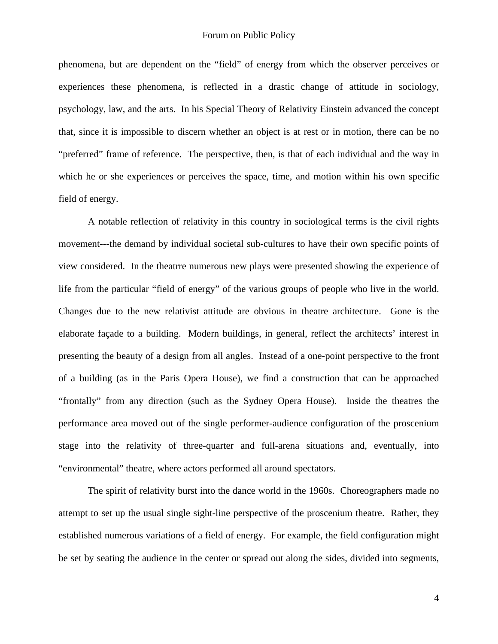phenomena, but are dependent on the "field" of energy from which the observer perceives or experiences these phenomena, is reflected in a drastic change of attitude in sociology, psychology, law, and the arts. In his Special Theory of Relativity Einstein advanced the concept that, since it is impossible to discern whether an object is at rest or in motion, there can be no "preferred" frame of reference. The perspective, then, is that of each individual and the way in which he or she experiences or perceives the space, time, and motion within his own specific field of energy.

 A notable reflection of relativity in this country in sociological terms is the civil rights movement---the demand by individual societal sub-cultures to have their own specific points of view considered. In the theatrre numerous new plays were presented showing the experience of life from the particular "field of energy" of the various groups of people who live in the world. Changes due to the new relativist attitude are obvious in theatre architecture. Gone is the elaborate façade to a building. Modern buildings, in general, reflect the architects' interest in presenting the beauty of a design from all angles. Instead of a one-point perspective to the front of a building (as in the Paris Opera House), we find a construction that can be approached "frontally" from any direction (such as the Sydney Opera House). Inside the theatres the performance area moved out of the single performer-audience configuration of the proscenium stage into the relativity of three-quarter and full-arena situations and, eventually, into "environmental" theatre, where actors performed all around spectators.

 The spirit of relativity burst into the dance world in the 1960s. Choreographers made no attempt to set up the usual single sight-line perspective of the proscenium theatre. Rather, they established numerous variations of a field of energy. For example, the field configuration might be set by seating the audience in the center or spread out along the sides, divided into segments,

4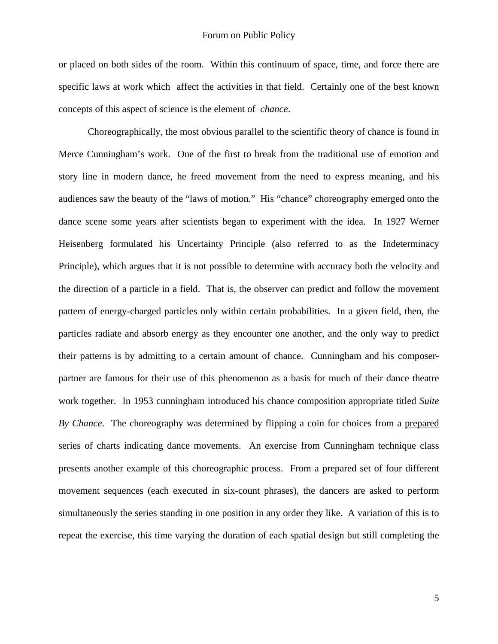or placed on both sides of the room. Within this continuum of space, time, and force there are specific laws at work which affect the activities in that field. Certainly one of the best known concepts of this aspect of science is the element of *chance*.

 Choreographically, the most obvious parallel to the scientific theory of chance is found in Merce Cunningham's work. One of the first to break from the traditional use of emotion and story line in modern dance, he freed movement from the need to express meaning, and his audiences saw the beauty of the "laws of motion." His "chance" choreography emerged onto the dance scene some years after scientists began to experiment with the idea. In 1927 Werner Heisenberg formulated his Uncertainty Principle (also referred to as the Indeterminacy Principle), which argues that it is not possible to determine with accuracy both the velocity and the direction of a particle in a field. That is, the observer can predict and follow the movement pattern of energy-charged particles only within certain probabilities. In a given field, then, the particles radiate and absorb energy as they encounter one another, and the only way to predict their patterns is by admitting to a certain amount of chance. Cunningham and his composerpartner are famous for their use of this phenomenon as a basis for much of their dance theatre work together. In 1953 cunningham introduced his chance composition appropriate titled *Suite By Chance*. The choreography was determined by flipping a coin for choices from a prepared series of charts indicating dance movements. An exercise from Cunningham technique class presents another example of this choreographic process. From a prepared set of four different movement sequences (each executed in six-count phrases), the dancers are asked to perform simultaneously the series standing in one position in any order they like. A variation of this is to repeat the exercise, this time varying the duration of each spatial design but still completing the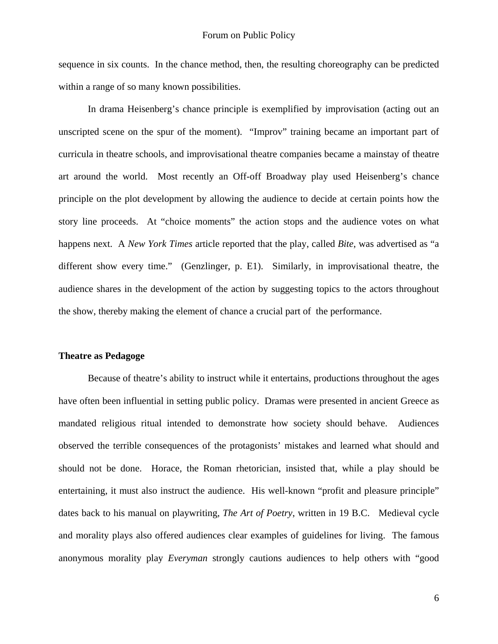sequence in six counts. In the chance method, then, the resulting choreography can be predicted within a range of so many known possibilities.

 In drama Heisenberg's chance principle is exemplified by improvisation (acting out an unscripted scene on the spur of the moment). "Improv" training became an important part of curricula in theatre schools, and improvisational theatre companies became a mainstay of theatre art around the world. Most recently an Off-off Broadway play used Heisenberg's chance principle on the plot development by allowing the audience to decide at certain points how the story line proceeds. At "choice moments" the action stops and the audience votes on what happens next. A *New York Times* article reported that the play, called *Bite*, was advertised as "a different show every time." (Genzlinger, p. E1). Similarly, in improvisational theatre, the audience shares in the development of the action by suggesting topics to the actors throughout the show, thereby making the element of chance a crucial part of the performance.

#### **Theatre as Pedagoge**

 Because of theatre's ability to instruct while it entertains, productions throughout the ages have often been influential in setting public policy. Dramas were presented in ancient Greece as mandated religious ritual intended to demonstrate how society should behave. Audiences observed the terrible consequences of the protagonists' mistakes and learned what should and should not be done. Horace, the Roman rhetorician, insisted that, while a play should be entertaining, it must also instruct the audience. His well-known "profit and pleasure principle" dates back to his manual on playwriting, *The Art of Poetry*, written in 19 B.C. Medieval cycle and morality plays also offered audiences clear examples of guidelines for living. The famous anonymous morality play *Everyman* strongly cautions audiences to help others with "good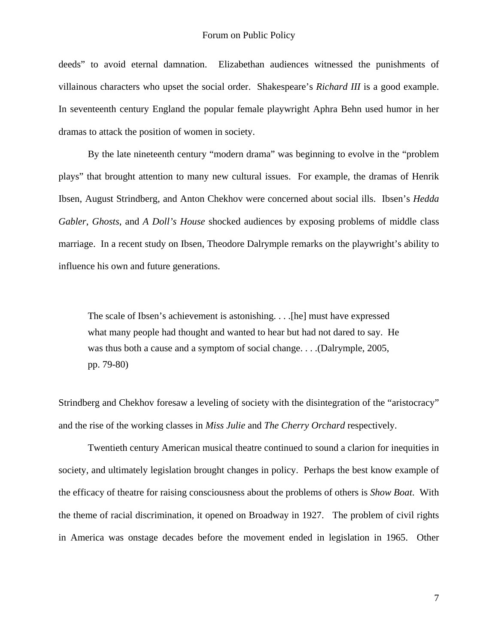deeds" to avoid eternal damnation. Elizabethan audiences witnessed the punishments of villainous characters who upset the social order. Shakespeare's *Richard III* is a good example. In seventeenth century England the popular female playwright Aphra Behn used humor in her dramas to attack the position of women in society.

 By the late nineteenth century "modern drama" was beginning to evolve in the "problem plays" that brought attention to many new cultural issues. For example, the dramas of Henrik Ibsen, August Strindberg, and Anton Chekhov were concerned about social ills. Ibsen's *Hedda Gabler*, *Ghosts*, and *A Doll's House* shocked audiences by exposing problems of middle class marriage. In a recent study on Ibsen, Theodore Dalrymple remarks on the playwright's ability to influence his own and future generations.

 The scale of Ibsen's achievement is astonishing. . . .[he] must have expressed what many people had thought and wanted to hear but had not dared to say. He was thus both a cause and a symptom of social change. . . .(Dalrymple, 2005, pp. 79-80)

Strindberg and Chekhov foresaw a leveling of society with the disintegration of the "aristocracy" and the rise of the working classes in *Miss Julie* and *The Cherry Orchard* respectively.

 Twentieth century American musical theatre continued to sound a clarion for inequities in society, and ultimately legislation brought changes in policy. Perhaps the best know example of the efficacy of theatre for raising consciousness about the problems of others is *Show Boat*. With the theme of racial discrimination, it opened on Broadway in 1927. The problem of civil rights in America was onstage decades before the movement ended in legislation in 1965. Other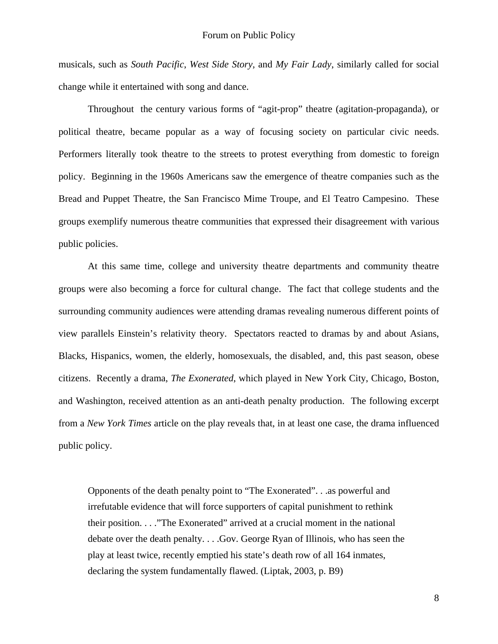musicals, such as *South Pacific*, *West Side Story*, and *My Fair Lady*, similarly called for social change while it entertained with song and dance.

 Throughout the century various forms of "agit-prop" theatre (agitation-propaganda), or political theatre, became popular as a way of focusing society on particular civic needs. Performers literally took theatre to the streets to protest everything from domestic to foreign policy. Beginning in the 1960s Americans saw the emergence of theatre companies such as the Bread and Puppet Theatre, the San Francisco Mime Troupe, and El Teatro Campesino. These groups exemplify numerous theatre communities that expressed their disagreement with various public policies.

 At this same time, college and university theatre departments and community theatre groups were also becoming a force for cultural change. The fact that college students and the surrounding community audiences were attending dramas revealing numerous different points of view parallels Einstein's relativity theory. Spectators reacted to dramas by and about Asians, Blacks, Hispanics, women, the elderly, homosexuals, the disabled, and, this past season, obese citizens. Recently a drama, *The Exonerated*, which played in New York City, Chicago, Boston, and Washington, received attention as an anti-death penalty production. The following excerpt from a *New York Times* article on the play reveals that, in at least one case, the drama influenced public policy.

 Opponents of the death penalty point to "The Exonerated". . .as powerful and irrefutable evidence that will force supporters of capital punishment to rethink their position. . . ."The Exonerated" arrived at a crucial moment in the national debate over the death penalty. . . .Gov. George Ryan of Illinois, who has seen the play at least twice, recently emptied his state's death row of all 164 inmates, declaring the system fundamentally flawed. (Liptak, 2003, p. B9)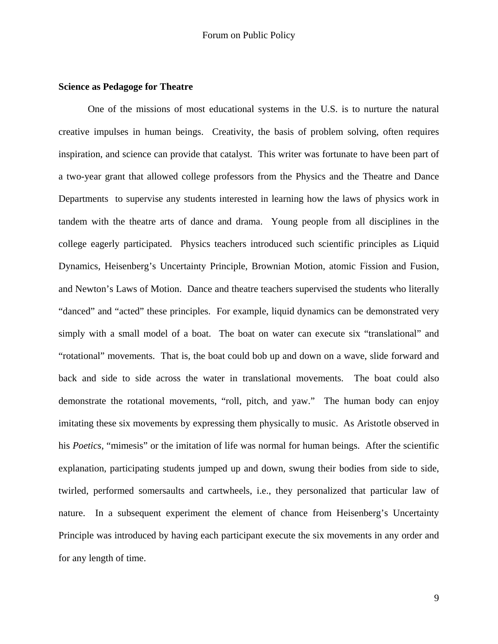# **Science as Pedagoge for Theatre**

 One of the missions of most educational systems in the U.S. is to nurture the natural creative impulses in human beings. Creativity, the basis of problem solving, often requires inspiration, and science can provide that catalyst. This writer was fortunate to have been part of a two-year grant that allowed college professors from the Physics and the Theatre and Dance Departments to supervise any students interested in learning how the laws of physics work in tandem with the theatre arts of dance and drama. Young people from all disciplines in the college eagerly participated. Physics teachers introduced such scientific principles as Liquid Dynamics, Heisenberg's Uncertainty Principle, Brownian Motion, atomic Fission and Fusion, and Newton's Laws of Motion. Dance and theatre teachers supervised the students who literally "danced" and "acted" these principles. For example, liquid dynamics can be demonstrated very simply with a small model of a boat. The boat on water can execute six "translational" and "rotational" movements. That is, the boat could bob up and down on a wave, slide forward and back and side to side across the water in translational movements. The boat could also demonstrate the rotational movements, "roll, pitch, and yaw." The human body can enjoy imitating these six movements by expressing them physically to music. As Aristotle observed in his *Poetics*, "mimesis" or the imitation of life was normal for human beings. After the scientific explanation, participating students jumped up and down, swung their bodies from side to side, twirled, performed somersaults and cartwheels, i.e., they personalized that particular law of nature. In a subsequent experiment the element of chance from Heisenberg's Uncertainty Principle was introduced by having each participant execute the six movements in any order and for any length of time.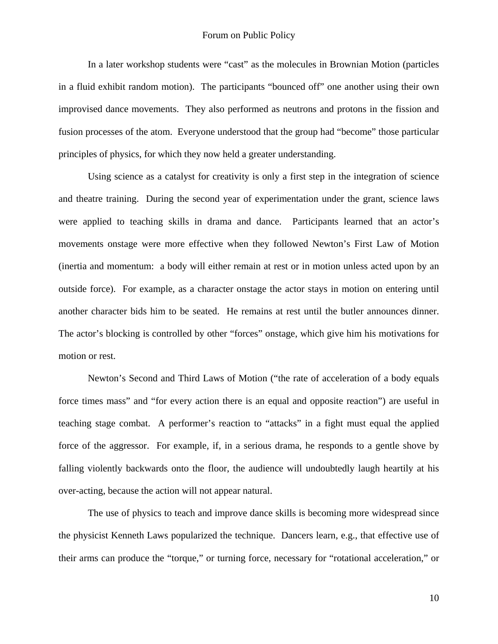In a later workshop students were "cast" as the molecules in Brownian Motion (particles in a fluid exhibit random motion). The participants "bounced off" one another using their own improvised dance movements. They also performed as neutrons and protons in the fission and fusion processes of the atom. Everyone understood that the group had "become" those particular principles of physics, for which they now held a greater understanding.

 Using science as a catalyst for creativity is only a first step in the integration of science and theatre training. During the second year of experimentation under the grant, science laws were applied to teaching skills in drama and dance. Participants learned that an actor's movements onstage were more effective when they followed Newton's First Law of Motion (inertia and momentum: a body will either remain at rest or in motion unless acted upon by an outside force). For example, as a character onstage the actor stays in motion on entering until another character bids him to be seated. He remains at rest until the butler announces dinner. The actor's blocking is controlled by other "forces" onstage, which give him his motivations for motion or rest.

 Newton's Second and Third Laws of Motion ("the rate of acceleration of a body equals force times mass" and "for every action there is an equal and opposite reaction") are useful in teaching stage combat. A performer's reaction to "attacks" in a fight must equal the applied force of the aggressor. For example, if, in a serious drama, he responds to a gentle shove by falling violently backwards onto the floor, the audience will undoubtedly laugh heartily at his over-acting, because the action will not appear natural.

 The use of physics to teach and improve dance skills is becoming more widespread since the physicist Kenneth Laws popularized the technique. Dancers learn, e.g., that effective use of their arms can produce the "torque," or turning force, necessary for "rotational acceleration," or

10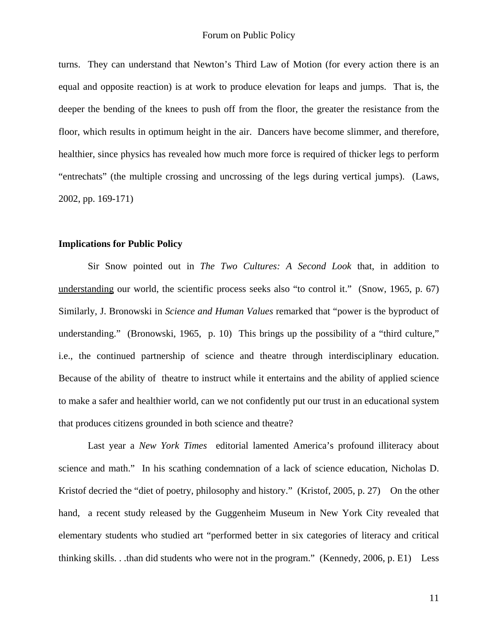turns. They can understand that Newton's Third Law of Motion (for every action there is an equal and opposite reaction) is at work to produce elevation for leaps and jumps. That is, the deeper the bending of the knees to push off from the floor, the greater the resistance from the floor, which results in optimum height in the air. Dancers have become slimmer, and therefore, healthier, since physics has revealed how much more force is required of thicker legs to perform "entrechats" (the multiple crossing and uncrossing of the legs during vertical jumps). (Laws, 2002, pp. 169-171)

## **Implications for Public Policy**

 Sir Snow pointed out in *The Two Cultures: A Second Look* that, in addition to understanding our world, the scientific process seeks also "to control it." (Snow, 1965, p. 67) Similarly, J. Bronowski in *Science and Human Values* remarked that "power is the byproduct of understanding." (Bronowski, 1965, p. 10) This brings up the possibility of a "third culture," i.e., the continued partnership of science and theatre through interdisciplinary education. Because of the ability of theatre to instruct while it entertains and the ability of applied science to make a safer and healthier world, can we not confidently put our trust in an educational system that produces citizens grounded in both science and theatre?

 Last year a *New York Times* editorial lamented America's profound illiteracy about science and math." In his scathing condemnation of a lack of science education, Nicholas D. Kristof decried the "diet of poetry, philosophy and history." (Kristof, 2005, p. 27) On the other hand, a recent study released by the Guggenheim Museum in New York City revealed that elementary students who studied art "performed better in six categories of literacy and critical thinking skills. . .than did students who were not in the program." (Kennedy, 2006, p. E1) Less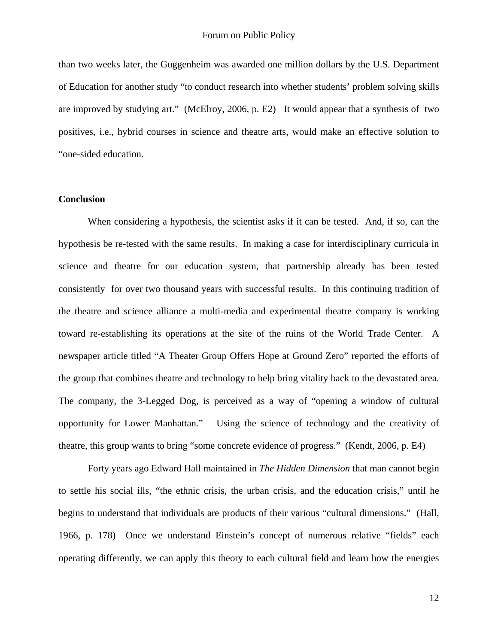than two weeks later, the Guggenheim was awarded one million dollars by the U.S. Department of Education for another study "to conduct research into whether students' problem solving skills are improved by studying art." (McElroy, 2006, p. E2) It would appear that a synthesis of two positives, i.e., hybrid courses in science and theatre arts, would make an effective solution to "one-sided education.

# **Conclusion**

 When considering a hypothesis, the scientist asks if it can be tested. And, if so, can the hypothesis be re-tested with the same results. In making a case for interdisciplinary curricula in science and theatre for our education system, that partnership already has been tested consistently for over two thousand years with successful results. In this continuing tradition of the theatre and science alliance a multi-media and experimental theatre company is working toward re-establishing its operations at the site of the ruins of the World Trade Center. A newspaper article titled "A Theater Group Offers Hope at Ground Zero" reported the efforts of the group that combines theatre and technology to help bring vitality back to the devastated area. The company, the 3-Legged Dog, is perceived as a way of "opening a window of cultural opportunity for Lower Manhattan." Using the science of technology and the creativity of theatre, this group wants to bring "some concrete evidence of progress." (Kendt, 2006, p. E4)

 Forty years ago Edward Hall maintained in *The Hidden Dimension* that man cannot begin to settle his social ills, "the ethnic crisis, the urban crisis, and the education crisis," until he begins to understand that individuals are products of their various "cultural dimensions." (Hall, 1966, p. 178) Once we understand Einstein's concept of numerous relative "fields" each operating differently, we can apply this theory to each cultural field and learn how the energies